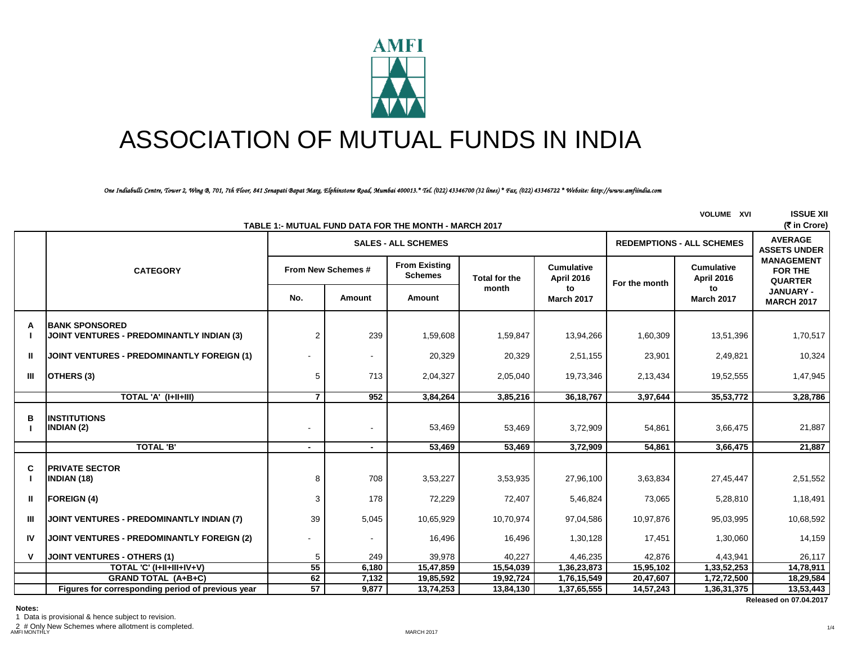

# ASSOCIATION OF MUTUAL FUNDS IN INDIA

*One Indiabulls Centre, Tower 2, Wing B, 701, 7th Floor, 841 Senapati Bapat Marg, Elphinstone Road, Mumbai 400013.\* Tel. (022) 43346700 (32 lines) \* Fax. (022) 43346722 \* Website: http://www.amfiindia.com*

|    |                                                                           |                    |        | TABLE 1:- MUTUAL FUND DATA FOR THE MONTH - MARCH 2017 |                      |                                 |                                  | <b>VOLUME XVI</b>                      | <b>ISSUE XII</b><br>(₹ in Crore)                      |
|----|---------------------------------------------------------------------------|--------------------|--------|-------------------------------------------------------|----------------------|---------------------------------|----------------------------------|----------------------------------------|-------------------------------------------------------|
|    |                                                                           |                    |        | <b>SALES - ALL SCHEMES</b>                            |                      |                                 | <b>REDEMPTIONS - ALL SCHEMES</b> | <b>AVERAGE</b><br><b>ASSETS UNDER</b>  |                                                       |
|    | <b>CATEGORY</b>                                                           | From New Schemes # |        | <b>From Existing</b><br><b>Schemes</b>                | <b>Total for the</b> | <b>Cumulative</b><br>April 2016 | For the month                    | <b>Cumulative</b><br><b>April 2016</b> | <b>MANAGEMENT</b><br><b>FOR THE</b><br><b>QUARTER</b> |
|    |                                                                           | No.                | Amount | Amount                                                | month                | to<br><b>March 2017</b>         |                                  | to<br><b>March 2017</b>                | <b>JANUARY -</b><br><b>MARCH 2017</b>                 |
| A  | <b>BANK SPONSORED</b><br><b>JOINT VENTURES - PREDOMINANTLY INDIAN (3)</b> | $\overline{2}$     | 239    | 1,59,608                                              | 1,59,847             | 13,94,266                       | 1,60,309                         | 13,51,396                              | 1,70,517                                              |
| Ш  | <b>JOINT VENTURES - PREDOMINANTLY FOREIGN (1)</b>                         |                    |        | 20,329                                                | 20,329               | 2,51,155                        | 23,901                           | 2,49,821                               | 10,324                                                |
| Ш  | OTHERS (3)                                                                | 5                  | 713    | 2,04,327                                              | 2,05,040             | 19,73,346                       | 2,13,434                         | 19,52,555                              | 1,47,945                                              |
|    | TOTAL 'A' (I+II+III)                                                      | $\overline{7}$     | 952    | 3,84,264                                              | 3,85,216             | 36, 18, 767                     | 3,97,644                         | 35,53,772                              | 3,28,786                                              |
| в  | <b>INSTITUTIONS</b><br><b>INDIAN (2)</b>                                  |                    |        | 53,469                                                | 53,469               | 3,72,909                        | 54,861                           | 3,66,475                               | 21,887                                                |
|    | <b>TOTAL 'B'</b>                                                          | $\sim$             |        | 53,469                                                | 53,469               | 3,72,909                        | 54,861                           | 3,66,475                               | 21,887                                                |
| C  | <b>PRIVATE SECTOR</b><br><b>INDIAN (18)</b>                               | 8                  | 708    | 3,53,227                                              | 3,53,935             | 27,96,100                       | 3,63,834                         | 27,45,447                              | 2,51,552                                              |
| Ш  | <b>FOREIGN (4)</b>                                                        | 3                  | 178    | 72,229                                                | 72,407               | 5,46,824                        | 73,065                           | 5,28,810                               | 1,18,491                                              |
| Ш  | JOINT VENTURES - PREDOMINANTLY INDIAN (7)                                 | 39                 | 5,045  | 10,65,929                                             | 10,70,974            | 97,04,586                       | 10,97,876                        | 95,03,995                              | 10,68,592                                             |
| IV | <b>JOINT VENTURES - PREDOMINANTLY FOREIGN (2)</b>                         |                    |        | 16,496                                                | 16,496               | 1,30,128                        | 17,451                           | 1,30,060                               | 14,159                                                |
| v  | <b>JOINT VENTURES - OTHERS (1)</b>                                        | 5                  | 249    | 39,978                                                | 40,227               | 4,46,235                        | 42,876                           | 4,43,941                               | 26,117                                                |
|    | TOTAL 'C' (I+II+III+IV+V)                                                 | 55                 | 6,180  | 15,47,859                                             | 15,54,039            | 1,36,23,873                     | 15,95,102                        | 1,33,52,253                            | 14,78,911                                             |
|    | <b>GRAND TOTAL (A+B+C)</b>                                                | 62                 | 7,132  | 19,85,592                                             | 19,92,724            | 1,76,15,549                     | 20,47,607                        | 1,72,72,500                            | 18,29,584                                             |
|    | Figures for corresponding period of previous year                         | $\overline{57}$    | 9,877  | 13,74,253                                             | 13,84,130            | 1,37,65,555                     | 14,57,243                        | 1,36,31,375                            | 13,53,443                                             |
|    |                                                                           |                    |        |                                                       |                      |                                 |                                  |                                        | <b>Released on 07.04.2017</b>                         |

**Notes:**

1 Data is provisional & hence subject to revision.

2 # Only New Schemes where allotment is completed. AMFI MONTHLY MARCH 2017

1/4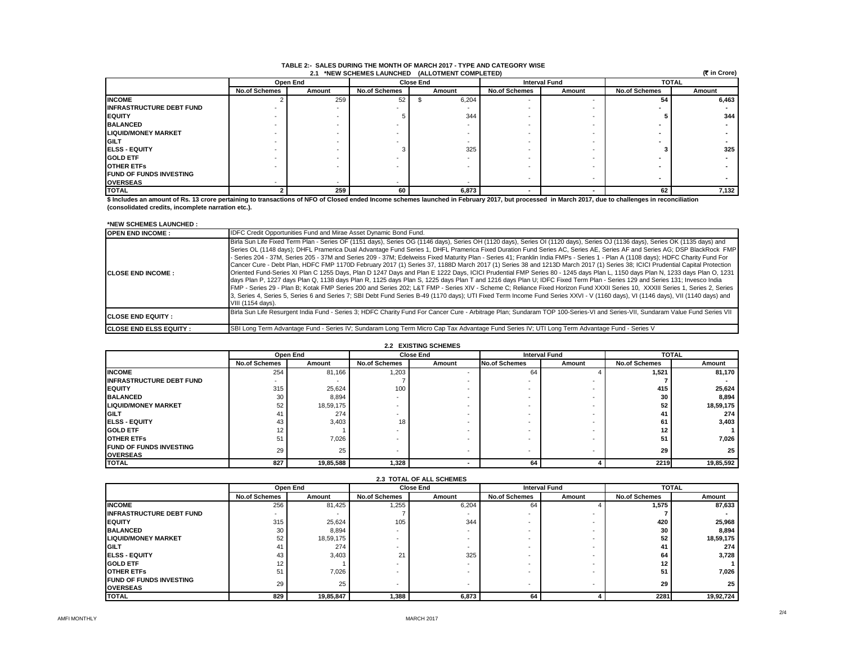|                                                 | TABLE 2:- SALES DURING THE MONTH OF MARCH 2017 - TYPE AND CATEGORY WISE |  |
|-------------------------------------------------|-------------------------------------------------------------------------|--|
| 2.1 *NEW SCHEMES LAUNCHED (ALLOTMENT COMPLETED) |                                                                         |  |

 **(**` **in Crore)**

|                                 |                      | Open End |                      | <b>Close End</b> | <b>Interval Fund</b> |                          | <b>TOTAL</b>         |        |  |  |
|---------------------------------|----------------------|----------|----------------------|------------------|----------------------|--------------------------|----------------------|--------|--|--|
|                                 | <b>No.of Schemes</b> | Amount   | <b>No.of Schemes</b> | Amount           | <b>No.of Schemes</b> | Amount                   | <b>No.of Schemes</b> | Amount |  |  |
| <b>INCOME</b>                   |                      | 259      | 52                   | 6,204            |                      |                          | 54                   | 6,463  |  |  |
| <b>INFRASTRUCTURE DEBT FUND</b> |                      |          |                      |                  |                      |                          |                      |        |  |  |
| <b>EQUITY</b>                   |                      |          |                      | 344              |                      |                          |                      | 344    |  |  |
| <b>BALANCED</b>                 |                      |          |                      |                  |                      |                          |                      |        |  |  |
| <b>LIQUID/MONEY MARKET</b>      |                      |          |                      |                  |                      |                          |                      |        |  |  |
| <b>IGILT</b>                    |                      |          |                      |                  |                      |                          |                      |        |  |  |
| <b>ELSS - EQUITY</b>            |                      |          |                      | 325              |                      |                          |                      | 325    |  |  |
| <b>GOLD ETF</b>                 |                      |          |                      |                  |                      |                          |                      |        |  |  |
| <b>OTHER ETFS</b>               |                      |          |                      |                  |                      |                          |                      |        |  |  |
| <b>FUND OF FUNDS INVESTING</b>  |                      |          |                      |                  |                      | $\overline{\phantom{a}}$ |                      |        |  |  |
| <b>OVERSEAS</b>                 |                      |          |                      |                  |                      |                          |                      |        |  |  |
| <b>TOTAL</b>                    |                      | 259      | 60                   | 6,873            |                      |                          | 62                   | 7,132  |  |  |

**\$ Includes an amount of Rs. 13 crore pertaining to transactions of NFO of Closed ended Income schemes launched in February 2017, but processed in March 2017, due to challenges in reconciliation (consolidated credits, incomplete narration etc.).**

#### **\*NEW SCHEMES LAUNCHED :**

| <b>OPEN END INCOME:</b>        | <b>IDFC Credit Opportunities Fund and Mirae Asset Dynamic Bond Fund.</b>                                                                                                                                                                                                                                                                                                                                                                                                                                                                                                                                                                                                                                                                                                                                                                                                                                                                                                                                                                                                                                                                                                                                                                                                                                                                                                                                                                                                             |
|--------------------------------|--------------------------------------------------------------------------------------------------------------------------------------------------------------------------------------------------------------------------------------------------------------------------------------------------------------------------------------------------------------------------------------------------------------------------------------------------------------------------------------------------------------------------------------------------------------------------------------------------------------------------------------------------------------------------------------------------------------------------------------------------------------------------------------------------------------------------------------------------------------------------------------------------------------------------------------------------------------------------------------------------------------------------------------------------------------------------------------------------------------------------------------------------------------------------------------------------------------------------------------------------------------------------------------------------------------------------------------------------------------------------------------------------------------------------------------------------------------------------------------|
| <b>ICLOSE END INCOME:</b>      | Birla Sun Life Fixed Term Plan - Series OF (1151 days), Series OG (1146 days), Series OH (1120 days), Series OI (1120 days), Series OJ (1136 days), Series OK (1135 days) and<br>Series OL (1148 days); DHFL Pramerica Dual Advantage Fund Series 1, DHFL Pramerica Fixed Duration Fund Series AC, Series AE, Series AF, and Series AG; DSP BlackRock FMP<br>- Series 204 - 37M, Series 205 - 37M and Series 209 - 37M; Edelweiss Fixed Maturity Plan - Series 41; Franklin India FMPs - Series 1 - Plan A (1108 days); HDFC Charity Fund For<br>Cancer Cure - Debt Plan, HDFC FMP 1170D February 2017 (1) Series 37, 1188D March 2017 (1) Series 38 and 1213D March 2017 (1) Series 38; ICICI Prudential Capital Protection<br>Oriented Fund-Series XI Plan C 1255 Days, Plan D 1247 Days and Plan E 1222 Days, ICICI Prudential FMP Series 80 - 1245 days Plan L, 1150 days Plan N, 1233 days Plan O, 1231<br>days Plan P, 1227 days Plan Q, 1138 days Plan R, 1125 days Plan S, 1225 days Plan T and 1216 days Plan U; IDFC Fixed Term Plan - Series 129 and Series 131; Invesco India<br>FMP - Series 29 - Plan B; Kotak FMP Series 200 and Series 202; L&T FMP - Series XIV - Scheme C; Reliance Fixed Horizon Fund XXXII Series 10, XXXIII Series 1, Series 2, Series<br>3, Series 4, Series 5, Series 6 and Series 7; SBI Debt Fund Series B-49 (1170 days); UTI Fixed Term Income Fund Series XXVI - V (1160 days), VI (1146 days), VII (1140 days) and<br>VIII (1154 days). |
| <b>ICLOSE END EQUITY:</b>      | Birla Sun Life Resurgent India Fund - Series 3; HDFC Charity Fund For Cancer Cure - Arbitrage Plan; Sundaram TOP 100-Series-VI and Series-VII, Sundaram Value Fund Series VII                                                                                                                                                                                                                                                                                                                                                                                                                                                                                                                                                                                                                                                                                                                                                                                                                                                                                                                                                                                                                                                                                                                                                                                                                                                                                                        |
| <b>ICLOSE END ELSS EQUITY:</b> | SBI Long Term Advantage Fund - Series IV; Sundaram Long Term Micro Cap Tax Advantage Fund Series IV; UTI Long Term Advantage Fund - Series V                                                                                                                                                                                                                                                                                                                                                                                                                                                                                                                                                                                                                                                                                                                                                                                                                                                                                                                                                                                                                                                                                                                                                                                                                                                                                                                                         |

#### **2.2 EXISTING SCHEMES**

|                                 | Open End             |           |                      | <b>Close End</b> |                      | <b>Interval Fund</b> |                      | <b>TOTAL</b> |  |
|---------------------------------|----------------------|-----------|----------------------|------------------|----------------------|----------------------|----------------------|--------------|--|
|                                 | <b>No.of Schemes</b> | Amount    | <b>No.of Schemes</b> | Amount           | <b>No.of Schemes</b> | Amount               | <b>No.of Schemes</b> | Amount       |  |
| <b>INCOME</b>                   | 254                  | 81,166    | 1,203                |                  | 64                   |                      | 1,521                | 81,170       |  |
| <b>INFRASTRUCTURE DEBT FUND</b> |                      |           |                      |                  |                      |                      |                      |              |  |
| <b>EQUITY</b>                   | 315                  | 25,624    | 100                  |                  |                      |                      | 415                  | 25,624       |  |
| <b>BALANCED</b>                 | 30                   | 8,894     |                      |                  |                      |                      | 30                   | 8,894        |  |
| <b>LIQUID/MONEY MARKET</b>      | 52                   | 18,59,175 |                      |                  |                      |                      | 52                   | 18,59,175    |  |
| <b>IGILT</b>                    | 41                   | 274       |                      |                  |                      |                      | 41                   | 274          |  |
| <b>IELSS - EQUITY</b>           | 43                   | 3.403     | 18                   |                  |                      |                      | 61                   | 3,403        |  |
| <b>GOLD ETF</b>                 | 12                   |           |                      |                  |                      |                      | $12 \overline{ }$    |              |  |
| <b>OTHER ETFS</b>               | 51                   | 7,026     |                      |                  |                      |                      | 51                   | 7,026        |  |
| <b>IFUND OF FUNDS INVESTING</b> | 29                   | 25        |                      |                  |                      |                      | 29                   | 25           |  |
| <b>OVERSEAS</b>                 |                      |           |                      |                  |                      |                      |                      |              |  |
| <b>TOTAL</b>                    | 827                  | 19,85,588 | 1,328                |                  | 64                   |                      | 2219                 | 19,85,592    |  |

|                                                    | <b>2.3 TOTAL OF ALL SCHEMES</b> |           |                      |                  |                          |                      |                      |              |  |  |
|----------------------------------------------------|---------------------------------|-----------|----------------------|------------------|--------------------------|----------------------|----------------------|--------------|--|--|
|                                                    |                                 | Open End  |                      | <b>Close End</b> |                          | <b>Interval Fund</b> |                      | <b>TOTAL</b> |  |  |
|                                                    | <b>No.of Schemes</b>            | Amount    | <b>No.of Schemes</b> | Amount           | <b>No.of Schemes</b>     | Amount               | <b>No.of Schemes</b> | Amount       |  |  |
| <b>INCOME</b>                                      | 256                             | 81,425    | 1,255                | 6,204            | 64                       |                      | 1,575                | 87,633       |  |  |
| <b>IINFRASTRUCTURE DEBT FUND</b>                   | $\sim$                          |           |                      |                  | $\overline{\phantom{a}}$ |                      |                      |              |  |  |
| <b>IEQUITY</b>                                     | 315                             | 25,624    | 105                  | 344              |                          |                      | 420                  | 25,968       |  |  |
| <b>BALANCED</b>                                    | 30                              | 8,894     |                      |                  | $\overline{\phantom{a}}$ |                      | 30                   | 8,894        |  |  |
| <b>LIQUID/MONEY MARKET</b>                         | 52                              | 18,59,175 |                      |                  |                          |                      | 52                   | 18,59,175    |  |  |
| <b>IGILT</b>                                       | 41                              | 274       |                      |                  | $\overline{\phantom{a}}$ |                      | 41                   | 274          |  |  |
| <b>ELSS - EQUITY</b>                               | 43                              | 3,403     | $\sim$               | 325              |                          |                      | 64                   | 3,728        |  |  |
| <b>GOLD ETF</b>                                    | 12                              |           |                      |                  | -                        |                      | 12                   |              |  |  |
| <b>OTHER ETFS</b>                                  | 51                              | 7,026     |                      |                  |                          |                      | 51                   | 7,026        |  |  |
| <b>IFUND OF FUNDS INVESTING</b><br><b>OVERSEAS</b> | 29                              | 25        |                      | ٠                | $\overline{\phantom{a}}$ |                      | 29                   | 25           |  |  |
| <b>TOTAL</b>                                       | 829                             | 19,85,847 | 1,388                | 6,873            | 64                       |                      | 2281                 | 19,92,724    |  |  |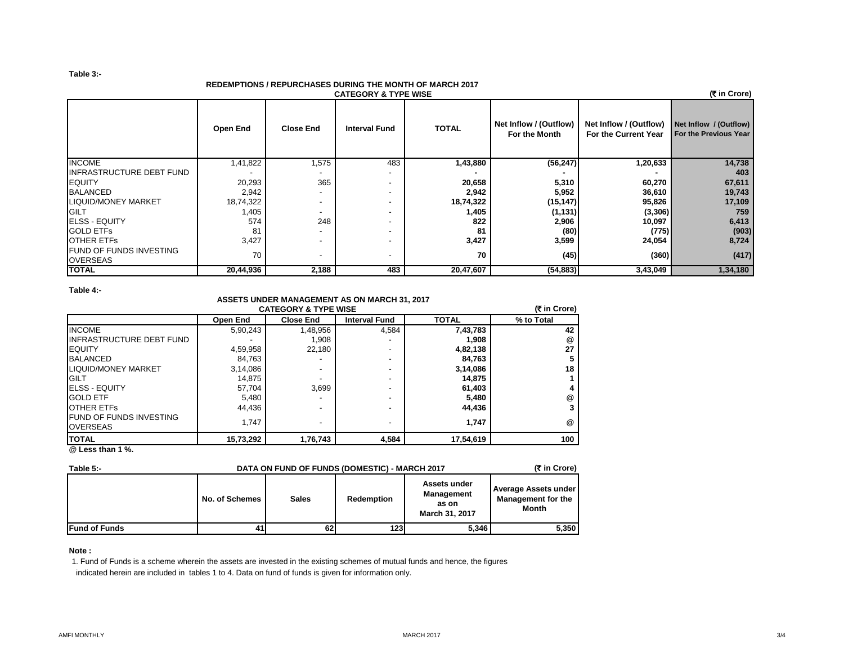#### **Table 3:-**

## **REDEMPTIONS / REPURCHASES DURING THE MONTH OF MARCH 2017**

| <u>REDEMF HONO / REFURCHASES DURING THE MONTH OF MARCH ZUTF</u><br>(₹ in Crore)<br><b>CATEGORY &amp; TYPE WISE</b> |           |                          |                          |              |                                         |                                                |                                                 |  |  |  |
|--------------------------------------------------------------------------------------------------------------------|-----------|--------------------------|--------------------------|--------------|-----------------------------------------|------------------------------------------------|-------------------------------------------------|--|--|--|
|                                                                                                                    | Open End  | <b>Close End</b>         | <b>Interval Fund</b>     | <b>TOTAL</b> | Net Inflow / (Outflow)<br>For the Month | Net Inflow / (Outflow)<br>For the Current Year | Net Inflow / (Outflow)<br>For the Previous Year |  |  |  |
| <b>INCOME</b>                                                                                                      | 1,41,822  | 1,575                    | 483                      | 1,43,880     | (56, 247)                               | 1,20,633                                       | 14,738                                          |  |  |  |
| <b>INFRASTRUCTURE DEBT FUND</b>                                                                                    |           |                          | $\overline{\phantom{0}}$ |              |                                         |                                                | 403                                             |  |  |  |
| <b>IEQUITY</b>                                                                                                     | 20,293    | 365                      |                          | 20,658       | 5,310                                   | 60,270                                         | 67,611                                          |  |  |  |
| <b>BALANCED</b>                                                                                                    | 2,942     |                          |                          | 2,942        | 5,952                                   | 36,610                                         | 19,743                                          |  |  |  |
| <b>LIQUID/MONEY MARKET</b>                                                                                         | 18,74,322 | $\overline{\phantom{0}}$ |                          | 18,74,322    | (15, 147)                               | 95,826                                         | 17,109                                          |  |  |  |
| GILT                                                                                                               | 1,405     | -                        | $\overline{\phantom{0}}$ | 1,405        | (1, 131)                                | (3,306)                                        | 759                                             |  |  |  |
| <b>ELSS - EQUITY</b>                                                                                               | 574       | 248                      |                          | 822          | 2,906                                   | 10,097                                         | 6,413                                           |  |  |  |
| <b>GOLD ETFS</b>                                                                                                   | 81        |                          |                          | 81           | (80)                                    | (775)                                          | (903)                                           |  |  |  |
| <b>OTHER ETFS</b>                                                                                                  | 3,427     |                          |                          | 3,427        | 3,599                                   | 24,054                                         | 8,724                                           |  |  |  |
| <b>FUND OF FUNDS INVESTING</b><br><b>OVERSEAS</b>                                                                  | 70        |                          |                          | 70           | (45)                                    | (360)                                          | (417)                                           |  |  |  |
| <b>TOTAL</b>                                                                                                       | 20,44,936 | 2,188                    | 483                      | 20,47,607    | (54, 883)                               | 3,43,049                                       | 1,34,180                                        |  |  |  |

### **Table 4:-**

## **ASSETS UNDER MANAGEMENT AS ON MARCH 31, 2017 CATEGORY & TYPE WISE**

| <b>CATEGORY &amp; TYPE WISE</b>                   |           |                  |                          |              |            |  |  |  |
|---------------------------------------------------|-----------|------------------|--------------------------|--------------|------------|--|--|--|
|                                                   | Open End  | <b>Close End</b> | <b>Interval Fund</b>     | <b>TOTAL</b> | % to Total |  |  |  |
| <b>INCOME</b>                                     | 5,90,243  | 1,48,956         | 4,584                    | 7,43,783     | 42         |  |  |  |
| <b>INFRASTRUCTURE DEBT FUND</b>                   |           | 1,908            |                          | 1,908        | @          |  |  |  |
| <b>EQUITY</b>                                     | 4,59,958  | 22.180           |                          | 4,82,138     | 27         |  |  |  |
| <b>BALANCED</b>                                   | 84.763    |                  |                          | 84,763       | 5          |  |  |  |
| <b>LIQUID/MONEY MARKET</b>                        | 3,14,086  |                  | -                        | 3,14,086     | 18         |  |  |  |
| <b>GILT</b>                                       | 14,875    |                  |                          | 14,875       |            |  |  |  |
| <b>IELSS - EQUITY</b>                             | 57,704    | 3,699            |                          | 61,403       | 4          |  |  |  |
| <b>GOLD ETF</b>                                   | 5,480     |                  |                          | 5,480        | @          |  |  |  |
| <b>OTHER ETFS</b>                                 | 44.436    | -                |                          | 44,436       | 3          |  |  |  |
| <b>FUND OF FUNDS INVESTING</b><br><b>OVERSEAS</b> | 1.747     | -                | $\overline{\phantom{a}}$ | 1.747        | @          |  |  |  |
| <b>ITOTAL</b>                                     | 15,73,292 | 1,76,743         | 4,584                    | 17,54,619    | 100        |  |  |  |

**@ Less than 1 %.**

| Table 5:-            | DATA ON FUND OF FUNDS (DOMESTIC) - MARCH 2017 | (₹ in Crore) |            |                                                              |                                                                   |
|----------------------|-----------------------------------------------|--------------|------------|--------------------------------------------------------------|-------------------------------------------------------------------|
|                      | No. of Schemes                                | <b>Sales</b> | Redemption | Assets under<br>Management<br>as on<br><b>March 31, 2017</b> | Average Assets under<br><b>Management for the</b><br><b>Month</b> |
| <b>Fund of Funds</b> | 41                                            | 62           | 123        | 5.346                                                        | 5,350                                                             |

#### **Note :**

1. Fund of Funds is a scheme wherein the assets are invested in the existing schemes of mutual funds and hence, the figures indicated herein are included in tables 1 to 4. Data on fund of funds is given for information only.